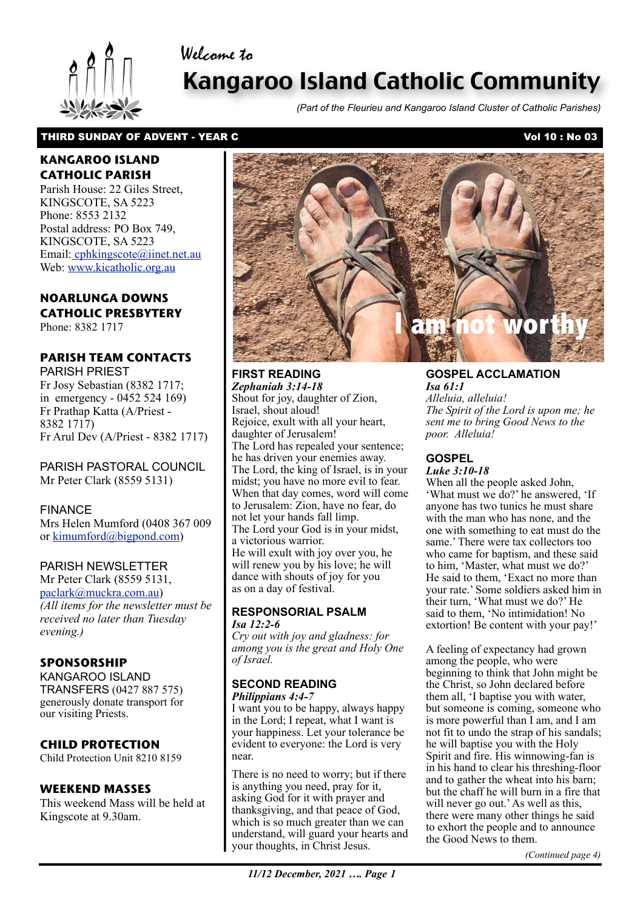

# Kangaroo Island Catholic Community

*(Part of the Fleurieu and Kangaroo Island Cluster of Catholic Parishes)*

#### THIRD SUNDAY OF ADVENT - YEAR C<br>
Wol 10 : No 03

Welcome to

## **KANGAROO ISLAND CATHOLIC PARISH**

Parish House: 22 Giles Street, KINGSCOTE, SA 5223 Phone: 8553 2132 Postal address: PO Box 749, KINGSCOTE, SA 5223 Email[: cphkingscote@iinet.net.au](mailto:cphkingscote@iinet.net.au) Web: [www.kicatholic.org.au](http://www.kicatholic.org.au)

# **NOARLUNGA DOWNS CATHOLIC PRESBYTERY**

Phone: 8382 1717

# **PARISH TEAM CONTACTS**

PARISH PRIEST Fr Josy Sebastian (8382 1717; in emergency - 0452 524 169) Fr Prathap Katta (A/Priest - 8382 1717) Fr Arul Dev (A/Priest - 8382 1717)

## PARISH PASTORAL COUNCIL Mr Peter Clark (8559 5131)

## FINANCE

Mrs Helen Mumford (0408 367 009 or [kimumford@bigpond.com\)](mailto:kimumford@bigpond.com)

## PARISH NEWSLETTER

Mr Peter Clark (8559 5131, [paclark@muckra.com.au\)](mailto:paclark@muckra.com.au) *(All items for the newsletter must be received no later than Tuesday evening.)*

## **SPONSORSHIP**

KANGAROO ISLAND TRANSFERS (0427 887 575) generously donate transport for our visiting Priests.

# **CHILD PROTECTION**

Child Protection Unit 8210 8159

## **WEEKEND MASSES**

This weekend Mass will be held at Kingscote at 9.30am.



**FIRST READING** *Zephaniah 3:14-18* Shout for joy, daughter of Zion, Israel, shout aloud! Rejoice, exult with all your heart daughter of Jerusalem! The Lord has repealed your sentence; he has driven your enemies away. The Lord, the king of Israel, is in your midst; you have no more evil to fear. When that day comes, word will come to Jerusalem: Zion, have no fear, do not let your hands fall limp. The Lord your God is in your midst, a victorious warrior. He will exult with joy over you, he will renew you by his love; he will dance with shouts of joy for you as on a day of festival.

#### **RESPONSORIAL PSALM** *Isa 12:2-6*

*Cry out with joy and gladness: for among you is the great and Holy One of Israel.*

#### **SECOND READING** *Philippians 4:4-7*

I want you to be happy, always happy in the Lord; I repeat, what I want is your happiness. Let your tolerance be evident to everyone: the Lord is very near.

 your thoughts, in Christ Jesus. There is no need to worry; but if there is anything you need, pray for it, asking God for it with prayer and thanksgiving, and that peace of God, which is so much greater than we can understand, will guard your hearts and

**GOSPEL ACCLAMATION** *Isa 61:1*

*Alleluia, alleluia! The Spirit of the Lord is upon me; he sent me to bring Good News to the poor. Alleluia!*

#### **GOSPEL** *Luke 3:10-18*

When all the people asked John, 'What must we do?' he answered, 'If anyone has two tunics he must share with the man who has none, and the one with something to eat must do the same.' There were tax collectors too who came for baptism, and these said to him, 'Master, what must we do?' He said to them, 'Exact no more than your rate.' Some soldiers asked him in their turn, 'What must we do?' He said to them, 'No intimidation! No extortion! Be content with your pay!'

A feeling of expectancy had grown among the people, who were beginning to think that John might be the Christ, so John declared before them all, 'I baptise you with water, but someone is coming, someone who is more powerful than I am, and I am not fit to undo the strap of his sandals; he will baptise you with the Holy Spirit and fire. His winnowing-fan is in his hand to clear his threshing-floor and to gather the wheat into his barn; but the chaff he will burn in a fire that will never go out.' As well as this, there were many other things he said to exhort the people and to announce the Good News to them.

*(Continued page 4)*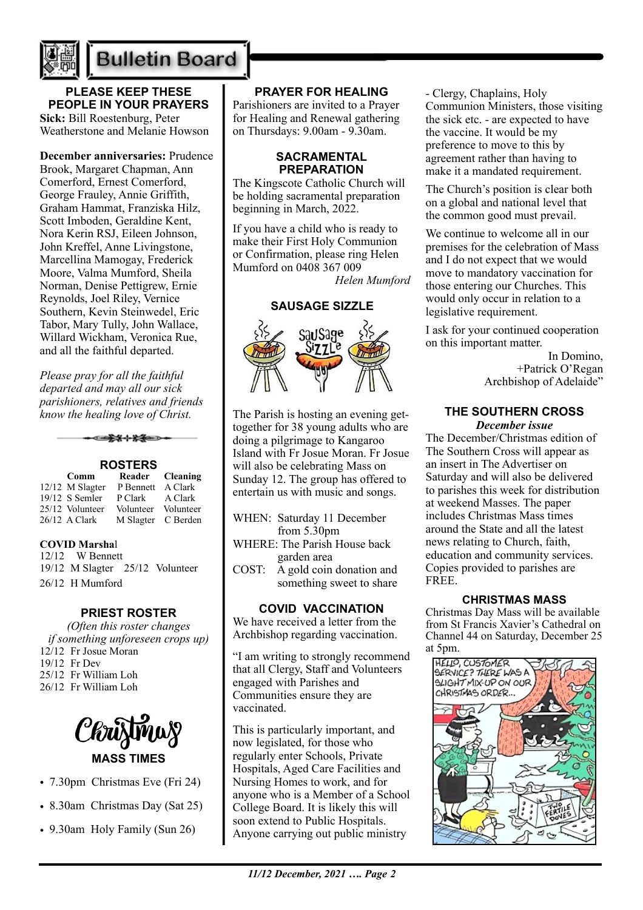

# **Bulletin Board**

# **PLEASE KEEP THESE PEOPLE IN YOUR PRAYERS**

**Sick:** Bill Roestenburg, Peter Weatherstone and Melanie Howson

**December anniversaries:** Prudence Brook, Margaret Chapman, Ann Comerford, Ernest Comerford, George Frauley, Annie Griffith, Graham Hammat, Franziska Hilz, Scott Imboden, Geraldine Kent, Nora Kerin RSJ, Eileen Johnson, John Kreffel, Anne Livingstone, Marcellina Mamogay, Frederick Moore, Valma Mumford, Sheila Norman, Denise Pettigrew, Ernie Reynolds, Joel Riley, Vernice Southern, Kevin Steinwedel, Eric Tabor, Mary Tully, John Wallace, Willard Wickham, Veronica Rue, and all the faithful departed.

*Please pray for all the faithful departed and may all our sick parishioners, relatives and friends know the healing love of Christ.*

</u>

#### **ROSTERS Comm Reader Cleaning**

| Comm             | Reader    | <b>Cleaning</b> |
|------------------|-----------|-----------------|
| 12/12 M Slagter  | P Bennett | A Clark         |
| $19/12$ S Semler | P Clark   | A Clark         |
| 25/12 Volunteer  | Volunteer | Volunteer       |
| 26/12 A Clark    | M Slagter | C Berden        |

#### **COVID Marsha**l

| $12/12$ W Bennett               |  |  |
|---------------------------------|--|--|
| 19/12 M Slagter 25/12 Volunteer |  |  |
| 26/12 H Mumford                 |  |  |

## **PRIEST ROSTER**

*(Often this roster changes if something unforeseen crops up)* 12/12 Fr Josue Moran 19/12 Fr Dev 25/12 Fr William Loh 26/12 Fr William Loh



- 7.30pm Christmas Eve (Fri 24)
- 8.30am Christmas Day (Sat 25)
- 9.30am Holy Family (Sun 26)

## **PRAYER FOR HEALING**

Parishioners are invited to a Prayer for Healing and Renewal gathering on Thursdays: 9.00am - 9.30am.

#### **SACRAMENTAL PREPARATION**

The Kingscote Catholic Church will be holding sacramental preparation beginning in March, 2022.

If you have a child who is ready to make their First Holy Communion or Confirmation, please ring Helen Mumford on 0408 367 009

*Helen Mumford*

# **SAUSAGE SIZZLE**



The Parish is hosting an evening gettogether for 38 young adults who are doing a pilgrimage to Kangaroo Island with Fr Josue Moran. Fr Josue will also be celebrating Mass on Sunday 12. The group has offered to entertain us with music and songs.

- WHEN: Saturday 11 December from  $5.30$ pm
- WHERE: The Parish House back garden area
- COST: A gold coin donation and something sweet to share

## **COVID VACCINATION**

We have received a letter from the Archbishop regarding vaccination.

"I am writing to strongly recommend that all Clergy, Staff and Volunteers engaged with Parishes and Communities ensure they are vaccinated.

This is particularly important, and now legislated, for those who regularly enter Schools, Private Hospitals, Aged Care Facilities and Nursing Homes to work, and for anyone who is a Member of a School College Board. It is likely this will soon extend to Public Hospitals. Anyone carrying out public ministry

- Clergy, Chaplains, Holy Communion Ministers, those visiting the sick etc. - are expected to have the vaccine. It would be my preference to move to this by agreement rather than having to make it a mandated requirement.

The Church's position is clear both on a global and national level that the common good must prevail.

We continue to welcome all in our premises for the celebration of Mass and I do not expect that we would move to mandatory vaccination for those entering our Churches. This would only occur in relation to a legislative requirement.

I ask for your continued cooperation on this important matter.

> In Domino, +Patrick O'Regan Archbishop of Adelaide"

#### **THE SOUTHERN CROSS** *December issue*

The December/Christmas edition of The Southern Cross will appear as an insert in The Advertiser on Saturday and will also be delivered to parishes this week for distribution at weekend Masses. The paper includes Christmas Mass times around the State and all the latest news relating to Church, faith, education and community services. Copies provided to parishes are FREE.

#### **CHRISTMAS MASS**

Christmas Day Mass will be available from St Francis Xavier's Cathedral on Channel 44 on Saturday, December 25 at 5pm.

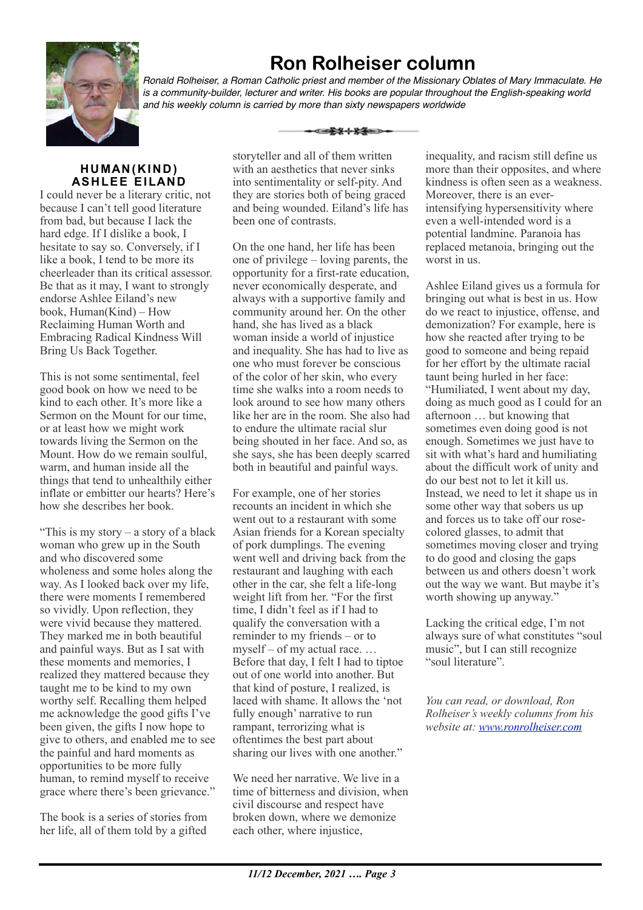

# **Ron Rolheiser column**

*Ronald Rolheiser, a Roman Catholic priest and member of the Missionary Oblates of Mary Immaculate. He is a community-builder, lecturer and writer. His books are popular throughout the English-speaking world and his weekly column is carried by more than sixty newspapers worldwide*

ఆ≵⊀⊹⊁≸≡⇒∙

# **H U M A N ( K I N D ) A S H L E E E I L A N D**

I could never be a literary critic, not because I can't tell good literature from bad, but because I lack the hard edge. If I dislike a book, I hesitate to say so. Conversely, if I like a book, I tend to be more its cheerleader than its critical assessor. Be that as it may, I want to strongly endorse Ashlee Eiland's new book, Human(Kind) – How Reclaiming Human Worth and Embracing Radical Kindness Will Bring Us Back Together.

This is not some sentimental, feel good book on how we need to be kind to each other. It's more like a Sermon on the Mount for our time, or at least how we might work towards living the Sermon on the Mount. How do we remain soulful, warm, and human inside all the things that tend to unhealthily either inflate or embitter our hearts? Here's how she describes her book.

"This is my story – a story of a black woman who grew up in the South and who discovered some wholeness and some holes along the way. As I looked back over my life, there were moments I remembered so vividly. Upon reflection, they were vivid because they mattered. They marked me in both beautiful and painful ways. But as I sat with these moments and memories, I realized they mattered because they taught me to be kind to my own worthy self. Recalling them helped me acknowledge the good gifts I've been given, the gifts I now hope to give to others, and enabled me to see the painful and hard moments as opportunities to be more fully human, to remind myself to receive grace where there's been grievance."

The book is a series of stories from her life, all of them told by a gifted

storyteller and all of them written with an aesthetics that never sinks into sentimentality or self-pity. And they are stories both of being graced and being wounded. Eiland's life has been one of contrasts.

On the one hand, her life has been one of privilege – loving parents, the opportunity for a first-rate education, never economically desperate, and always with a supportive family and community around her. On the other hand, she has lived as a black woman inside a world of injustice and inequality. She has had to live as one who must forever be conscious of the color of her skin, who every time she walks into a room needs to look around to see how many others like her are in the room. She also had to endure the ultimate racial slur being shouted in her face. And so, as she says, she has been deeply scarred both in beautiful and painful ways.

For example, one of her stories recounts an incident in which she went out to a restaurant with some Asian friends for a Korean specialty of pork dumplings. The evening went well and driving back from the restaurant and laughing with each other in the car, she felt a life-long weight lift from her. "For the first time, I didn't feel as if I had to qualify the conversation with a reminder to my friends – or to myself – of my actual race. … Before that day, I felt I had to tiptoe out of one world into another. But that kind of posture, I realized, is laced with shame. It allows the 'not fully enough' narrative to run rampant, terrorizing what is oftentimes the best part about sharing our lives with one another."

We need her narrative. We live in a time of bitterness and division, when civil discourse and respect have broken down, where we demonize each other, where injustice,

inequality, and racism still define us more than their opposites, and where kindness is often seen as a weakness. Moreover, there is an everintensifying hypersensitivity where even a well-intended word is a potential landmine. Paranoia has replaced metanoia, bringing out the worst in us.

Ashlee Eiland gives us a formula for bringing out what is best in us. How do we react to injustice, offense, and demonization? For example, here is how she reacted after trying to be good to someone and being repaid for her effort by the ultimate racial taunt being hurled in her face: "Humiliated, I went about my day, doing as much good as I could for an afternoon … but knowing that sometimes even doing good is not enough. Sometimes we just have to sit with what's hard and humiliating about the difficult work of unity and do our best not to let it kill us. Instead, we need to let it shape us in some other way that sobers us up and forces us to take off our rosecolored glasses, to admit that sometimes moving closer and trying to do good and closing the gaps between us and others doesn't work out the way we want. But maybe it's worth showing up anyway."

Lacking the critical edge, I'm not always sure of what constitutes "soul music", but I can still recognize "soul literature".

*You can read, or download, Ron Rolheiser's weekly columns from his website at: [www.ronrolheiser.com](http://www.ronrolheiser.com)*